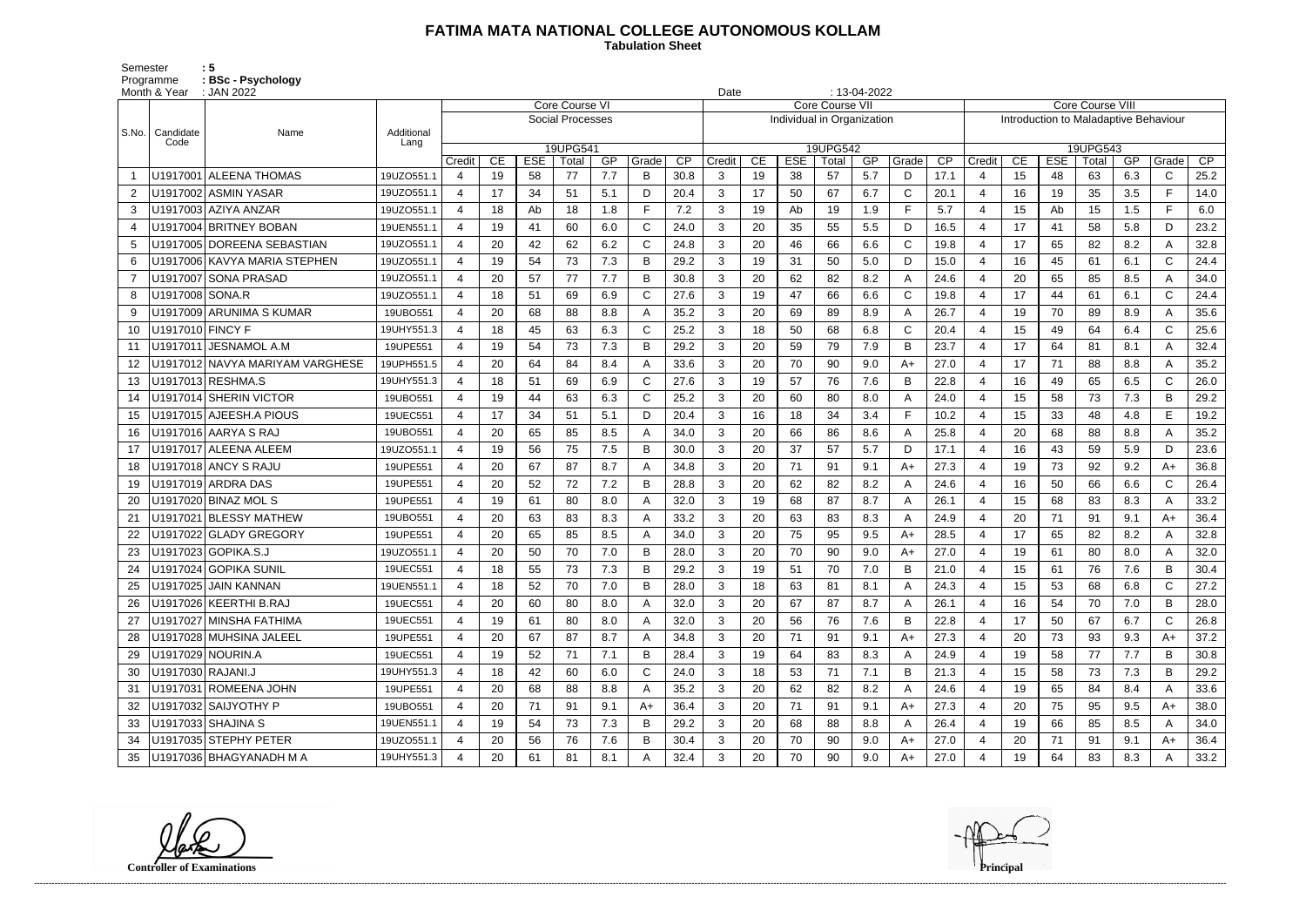## **FATIMA MATA NATIONAL COLLEGE AUTONOMOUS KOLLAM**

Semester : 5 Programme **: BSc - Psychology**  **Tabulation Sheet** 

|                | Month & Year      | $: 13-04-2022$<br>: JAN 2022<br>Date |            |                  |    |            |                  |     |              |      |                |    |                            |                        |     |              |      |                                       |    |            |          |     |              |      |
|----------------|-------------------|--------------------------------------|------------|------------------|----|------------|------------------|-----|--------------|------|----------------|----|----------------------------|------------------------|-----|--------------|------|---------------------------------------|----|------------|----------|-----|--------------|------|
|                |                   |                                      |            |                  |    |            | Core Course VI   |     |              |      |                |    |                            | <b>Core Course VII</b> |     |              |      | <b>Core Course VIII</b>               |    |            |          |     |              |      |
| S.No.          | Candidate         | Name                                 | Additional |                  |    |            | Social Processes |     |              |      |                |    | Individual in Organization |                        |     |              |      | Introduction to Maladaptive Behaviour |    |            |          |     |              |      |
|                | Code              |                                      | Lang       |                  |    |            | 19UPG541         |     |              |      |                |    |                            | 19UPG542               |     |              |      |                                       |    |            | 19UPG543 |     |              |      |
|                |                   |                                      |            | Credit           | CE | <b>ESE</b> | Total            | GP  | Grade        | CP   | Credit         | CE | <b>ESE</b>                 | Total                  | GP  | Grade        | CP   | Credit                                | CE | <b>ESE</b> | Total    | GP  | Grade        | CP   |
|                |                   | U1917001 ALEENA THOMAS               | 19UZO551.1 | 4                | 19 | 58         | 77               | 7.7 | B            | 30.8 | 3              | 19 | 38                         | 57                     | 5.7 | D            | 17.1 | $\Delta$                              | 15 | 48         | 63       | 6.3 | $\mathsf{C}$ | 25.2 |
| $\overline{2}$ |                   | U1917002 ASMIN YASAR                 | 19UZO551.1 | 4                | 17 | 34         | 51               | 5.1 | D            | 20.4 | 3              | 17 | 50                         | 67                     | 6.7 | $\mathsf{C}$ | 20.1 | $\overline{4}$                        | 16 | 19         | 35       | 3.5 | F.           | 14.0 |
| 3              |                   | U1917003 AZIYA ANZAR                 | 19UZO551.1 | 4                | 18 | Ab         | 18               | 1.8 | F.           | 7.2  | 3              | 19 | Ab                         | 19                     | 1.9 | F.           | 5.7  | $\overline{4}$                        | 15 | Ab         | 15       | 1.5 | F.           | 6.0  |
| 4              |                   | U1917004 BRITNEY BOBAN               | 19UEN551.1 | 4                | 19 | 41         | 60               | 6.0 | C            | 24.0 | 3              | 20 | 35                         | 55                     | 5.5 | D            | 16.5 | $\overline{4}$                        | 17 | 41         | 58       | 5.8 | D            | 23.2 |
| 5              |                   | U1917005 DOREENA SEBASTIAN           | 19UZO551.1 | 4                | 20 | 42         | 62               | 6.2 | C            | 24.8 | 3              | 20 | 46                         | 66                     | 6.6 | $\mathsf{C}$ | 19.8 | $\overline{4}$                        | 17 | 65         | 82       | 8.2 | A            | 32.8 |
| 6              |                   | U1917006 KAVYA MARIA STEPHEN         | 19UZO551.1 | 4                | 19 | 54         | 73               | 7.3 | В            | 29.2 | 3              | 19 | 31                         | 50                     | 5.0 | D            | 15.0 | $\overline{4}$                        | 16 | 45         | 61       | 6.1 | $\mathsf{C}$ | 24.4 |
| $\overline{7}$ |                   | U1917007 SONA PRASAD                 | 19UZO551.1 | 4                | 20 | 57         | 77               | 7.7 | B            | 30.8 | 3              | 20 | 62                         | 82                     | 8.2 | A            | 24.6 | -4                                    | 20 | 65         | 85       | 8.5 | A            | 34.0 |
| 8              | U1917008 SONA.R   |                                      | 19UZO551.1 | 4                | 18 | 51         | 69               | 6.9 | C            | 27.6 | 3              | 19 | 47                         | 66                     | 6.6 | $\mathsf C$  | 19.8 | $\overline{4}$                        | 17 | 44         | 61       | 6.1 | $\mathsf{C}$ | 24.4 |
| -9             |                   | U1917009 ARUNIMA S KUMAR             | 19UBO551   | 4                | 20 | 68         | 88               | 8.8 | A            | 35.2 | 3              | 20 | 69                         | 89                     | 8.9 | A            | 26.7 | $\overline{4}$                        | 19 | 70         | 89       | 8.9 | A            | 35.6 |
| 10             | U1917010 FINCY F  |                                      | 19UHY551.3 | 4                | 18 | 45         | 63               | 6.3 | C            | 25.2 | 3              | 18 | 50                         | 68                     | 6.8 | $\mathsf{C}$ | 20.4 | $\overline{4}$                        | 15 | 49         | 64       | 6.4 | $\mathsf{C}$ | 25.6 |
| 11             |                   | U1917011 JESNAMOL A.M                | 19UPE551   | 4                | 19 | 54         | 73               | 7.3 | В            | 29.2 | 3              | 20 | 59                         | 79                     | 7.9 | B            | 23.7 | $\overline{4}$                        | 17 | 64         | 81       | 8.1 | A            | 32.4 |
| 12             |                   | U1917012 NAVYA MARIYAM VARGHESE      | 19UPH551.5 | $\boldsymbol{4}$ | 20 | 64         | 84               | 8.4 | A            | 33.6 | 3              | 20 | 70                         | 90                     | 9.0 | A+           | 27.0 | $\overline{4}$                        | 17 | 71         | 88       | 8.8 | A            | 35.2 |
| 13             |                   | U1917013 RESHMA.S                    | 19UHY551.3 | 4                | 18 | 51         | 69               | 6.9 | C            | 27.6 | 3              | 19 | 57                         | 76                     | 7.6 | B            | 22.8 | $\overline{4}$                        | 16 | 49         | 65       | 6.5 | $\mathsf{C}$ | 26.0 |
| 14             |                   | U1917014 SHERIN VICTOR               | 19UBO551   | 4                | 19 | 44         | 63               | 6.3 | C            | 25.2 | 3              | 20 | 60                         | 80                     | 8.0 | A            | 24.0 | $\overline{4}$                        | 15 | 58         | 73       | 7.3 | B            | 29.2 |
| 15             |                   | U1917015 AJEESH.A PIOUS              | 19UEC551   | 4                | 17 | 34         | 51               | 5.1 | D            | 20.4 | 3              | 16 | 18                         | 34                     | 3.4 | F            | 10.2 | $\overline{4}$                        | 15 | 33         | 48       | 4.8 | E            | 19.2 |
| 16             |                   | U1917016 AARYA S RAJ                 | 19UBO551   | 4                | 20 | 65         | 85               | 8.5 |              | 34.0 | 3              | 20 | 66                         | 86                     | 8.6 | $\mathsf{A}$ | 25.8 | $\overline{4}$                        | 20 | 68         | 88       | 8.8 | A            | 35.2 |
| 17             |                   | U1917017 ALEENA ALEEM                | 19UZO551.1 | 4                | 19 | 56         | 75               | 7.5 | B            | 30.0 | 3              | 20 | 37                         | 57                     | 5.7 | D            | 17.1 | $\overline{4}$                        | 16 | 43         | 59       | 5.9 | D            | 23.6 |
| 18             |                   | U1917018 ANCY S RAJU                 | 19UPE551   | 4                | 20 | 67         | 87               | 8.7 | А            | 34.8 | 3              | 20 | 71                         | 91                     | 9.1 | A+           | 27.3 | $\overline{4}$                        | 19 | 73         | 92       | 9.2 | $A+$         | 36.8 |
| 19             |                   | U1917019 ARDRA DAS                   | 19UPE551   | 4                | 20 | 52         | 72               | 7.2 | В            | 28.8 | 3              | 20 | 62                         | 82                     | 8.2 | $\mathsf{A}$ | 24.6 | $\overline{4}$                        | 16 | 50         | 66       | 6.6 | $\mathsf{C}$ | 26.4 |
| 20             |                   | U1917020 BINAZ MOL S                 | 19UPE551   | 4                | 19 | 61         | 80               | 8.0 | А            | 32.0 | 3              | 19 | 68                         | 87                     | 8.7 | A            | 26.1 | $\overline{4}$                        | 15 | 68         | 83       | 8.3 | A            | 33.2 |
| 21             |                   | U1917021 BLESSY MATHEW               | 19UBO551   | 4                | 20 | 63         | 83               | 8.3 | А            | 33.2 | 3              | 20 | 63                         | 83                     | 8.3 | $\mathsf{A}$ | 24.9 | $\overline{4}$                        | 20 | 71         | 91       | 9.1 | $A+$         | 36.4 |
| 22             |                   | U1917022 GLADY GREGORY               | 19UPE551   | 4                | 20 | 65         | 85               | 8.5 | A            | 34.0 | 3              | 20 | 75                         | 95                     | 9.5 | A+           | 28.5 | $\overline{4}$                        | 17 | 65         | 82       | 8.2 | A            | 32.8 |
| 23             |                   | U1917023 GOPIKA.S.J                  | 19UZO551.1 | 4                | 20 | 50         | 70               | 7.0 | В            | 28.0 | 3              | 20 | 70                         | 90                     | 9.0 | $A+$         | 27.0 | -4                                    | 19 | 61         | 80       | 8.0 | $\mathsf{A}$ | 32.0 |
| 24             |                   | U1917024 GOPIKA SUNIL                | 19UEC551   | 4                | 18 | 55         | 73               | 7.3 | В            | 29.2 | 3              | 19 | 51                         | 70                     | 7.0 | B            | 21.0 | $\overline{4}$                        | 15 | 61         | 76       | 7.6 | B            | 30.4 |
| 25             |                   | U1917025 JAIN KANNAN                 | 19UEN551.1 | 4                | 18 | 52         | 70               | 7.0 | B            | 28.0 | 3              | 18 | 63                         | -81                    | 8.1 | A            | 24.3 | 4                                     | 15 | 53         | 68       | 6.8 | C            | 27.2 |
|                |                   | U1917026 KEERTHI B.RAJ               | 19UEC551   | 4                | 20 | 60         | 80               | 8.0 |              | 32.0 | 3              | 20 | 67                         | 87                     | 8.7 | A            | 26.1 | -4                                    | 16 | 54         | 70       | 7.0 | B            | 28.0 |
| 27             |                   | U1917027 MINSHA FATHIMA              | 19UEC551   | 4                | 19 | 61         | 80               | 8.0 | A            | 32.0 | 3              | 20 | 56                         | 76                     | 7.6 | B            | 22.8 | -4                                    | 17 | 50         | 67       | 6.7 | $\mathsf{C}$ | 26.8 |
| 28             |                   | U1917028 MUHSINA JALEEL              | 19UPE551   | 4                | 20 | 67         | 87               | 8.7 | A            | 34.8 | 3 <sup>1</sup> | 20 | 71                         | 91                     | 9.1 | $A+$         | 27.3 | $\overline{4}$                        | 20 | 73         | 93       | 9.3 | A+           | 37.2 |
| 29             |                   | U1917029 NOURIN.A                    | 19UEC551   | 4                | 19 | 52         | 71               | 7.1 | B            | 28.4 | 3              | 19 | 64                         | 83                     | 8.3 | A            | 24.9 | $\overline{a}$                        | 19 | 58         | 77       | 7.7 | B            | 30.8 |
| 30             | U1917030 RAJANI.J |                                      | 19UHY551.3 | 4                | 18 | 42         | 60               | 6.0 | $\mathsf{C}$ | 24.0 | $\mathbf{3}$   | 18 | 53                         | 71                     | 7.1 | B            | 21.3 | -4                                    | 15 | 58         | 73       | 7.3 | B            | 29.2 |
| 31             |                   | U1917031 ROMEENA JOHN                | 19UPE551   | 4                | 20 | 68         | 88               | 8.8 |              | 35.2 | 3              | 20 | 62                         | 82                     | 8.2 | A            | 24.6 | -4                                    | 19 | 65         | 84       | 8.4 | A            | 33.6 |
| 32             |                   | U1917032 SAIJYOTHY P                 | 19UBO551   | 4                | 20 | 71         | 91               | 9.1 | A+           | 36.4 | 3              | 20 | 71                         | 91                     | 9.1 | A+           | 27.3 | -4                                    | 20 | 75         | 95       | 9.5 | A+           | 38.0 |
| 33             |                   | U1917033 SHAJINA S                   | 19UEN551.1 | 4                | 19 | 54         | 73               | 7.3 | В            | 29.2 | 3              | 20 | 68                         | 88                     | 8.8 | A            | 26.4 | -4                                    | 19 | 66         | 85       | 8.5 | A            | 34.0 |
| 34             |                   | U1917035 STEPHY PETER                | 19UZO551.1 | 4                | 20 | 56         | 76               | 7.6 | B            | 30.4 | 3              | 20 | 70                         | 90                     | 9.0 | $A+$         | 27.0 | $\overline{4}$                        | 20 | 71         | 91       | 9.1 | $A+$         | 36.4 |
| 35             |                   | U1917036 BHAGYANADH M A              | 19UHY551.3 | 4                | 20 | 61         | 81               | 8.1 |              | 32.4 | 3 <sup>1</sup> | 20 | 70                         | 90                     | 9.0 | $A+$         | 27.0 | $\overline{4}$                        | 19 | 64         | 83       | 8.3 | Α            | 33.2 |

**Controller of Examinations Principal**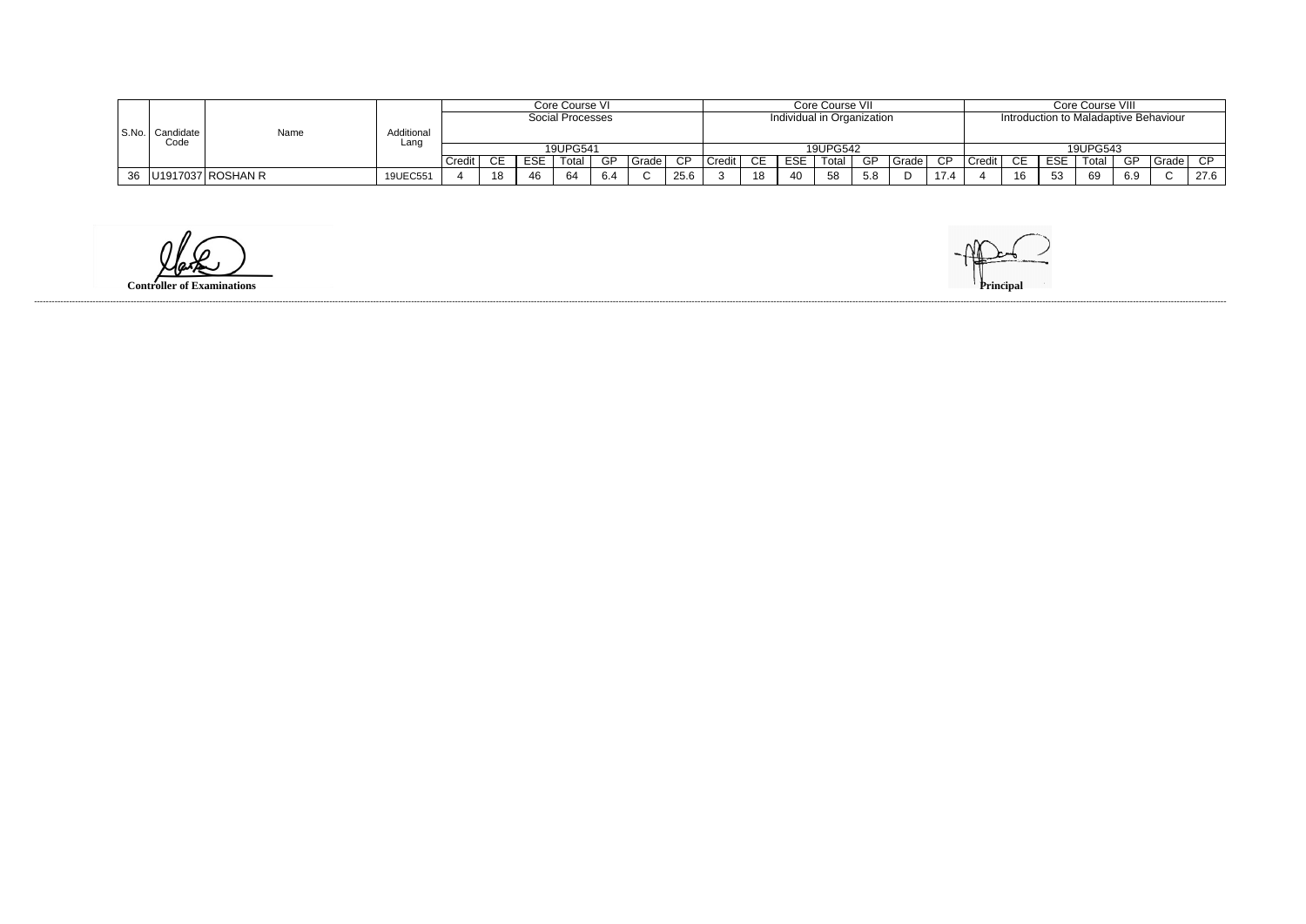|       |           |                          |            |        |                               |            | Core Course VI    |     |         |      |                     |    |                            | Core Course VII |      |       |                            |                                       | Core Course VIII |     |          |     |       |      |
|-------|-----------|--------------------------|------------|--------|-------------------------------|------------|-------------------|-----|---------|------|---------------------|----|----------------------------|-----------------|------|-------|----------------------------|---------------------------------------|------------------|-----|----------|-----|-------|------|
|       |           | Name                     |            |        |                               |            | Social Processes  |     |         |      |                     |    | Individual in Organization |                 |      |       |                            | Introduction to Maladaptive Behaviour |                  |     |          |     |       |      |
| S.No. | Candidate |                          | Additional |        |                               |            |                   |     |         |      |                     |    |                            |                 |      |       |                            |                                       |                  |     |          |     |       |      |
|       | Code      |                          | Lanc       |        |                               |            | 19UPG541          |     |         |      |                     |    |                            | 19UPG542        |      |       |                            |                                       |                  |     | 19UPG543 |     |       |      |
|       |           |                          |            | Credit | ◠⊏                            | <b>ESE</b> | <sup>-</sup> otal | GP  | Grade l | CP   | Credit <sup>'</sup> | СE | <b>ESE</b>                 | Total           | - GP | Grade | -CD                        | Credit                                | ∼⊏               | ESE | Total    | GP  | Grade | CP.  |
|       |           | 36   U1917037   ROSHAN R | 19UEC551   |        | $\overline{4}$ $\overline{0}$ | 46         |                   | 6.4 |         | 25.6 |                     | 18 | 40                         | 58              |      |       | 471<br>$\cdot$ . 4 $\cdot$ |                                       | 16               | 53  | 69       | 6.9 |       | 27.6 |

**Controller of Examinations**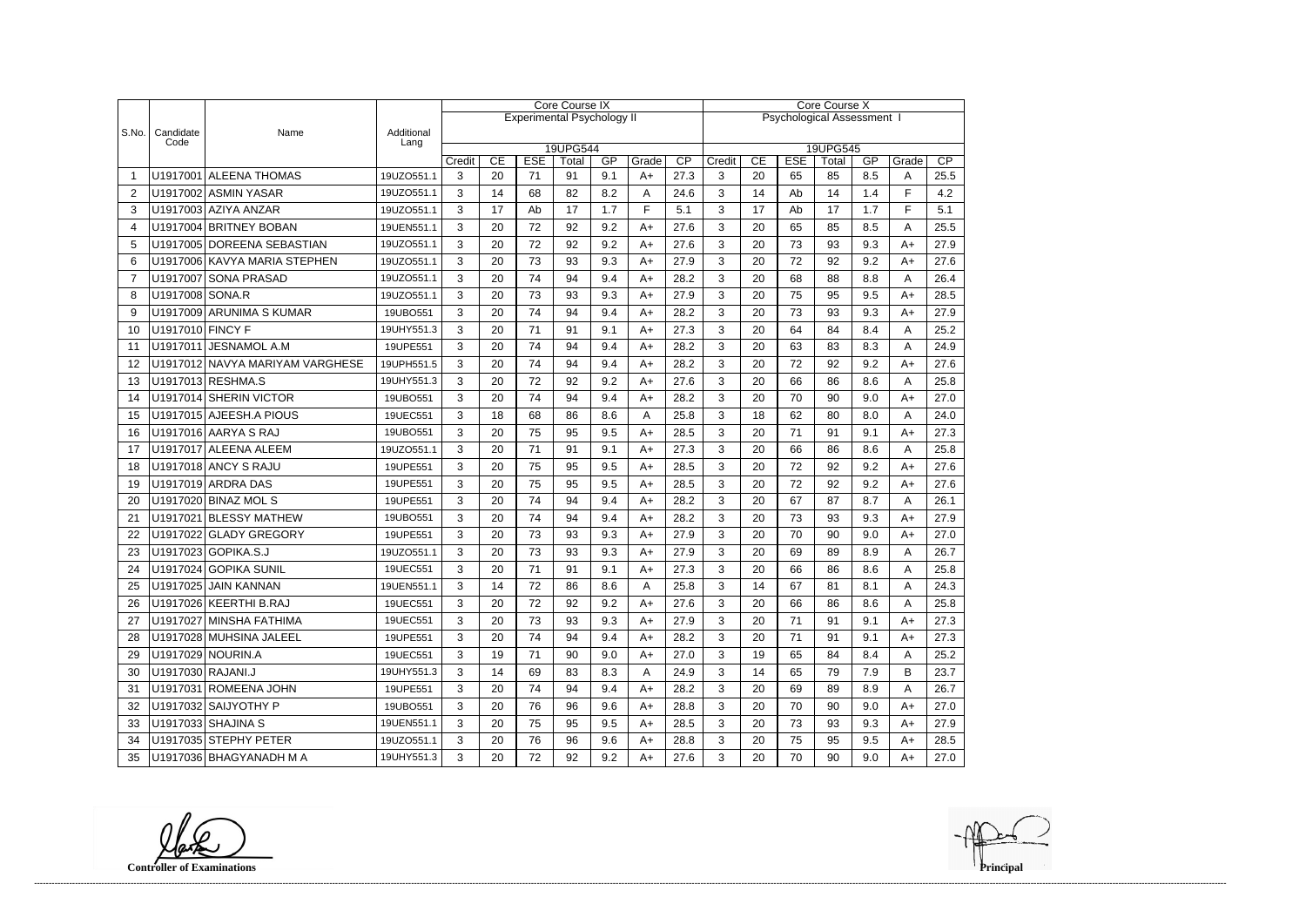|                |                   |                                 |                    | <b>Core Course IX</b> |    |            |                                   |     |       |      | <b>Core Course X</b>       |    |            |                   |            |       |      |  |
|----------------|-------------------|---------------------------------|--------------------|-----------------------|----|------------|-----------------------------------|-----|-------|------|----------------------------|----|------------|-------------------|------------|-------|------|--|
|                |                   |                                 |                    |                       |    |            | <b>Experimental Psychology II</b> |     |       |      | Psychological Assessment I |    |            |                   |            |       |      |  |
| S.No.          | Candidate<br>Code | Name                            | Additional<br>Lang |                       |    |            |                                   |     |       |      |                            |    |            |                   |            |       |      |  |
|                |                   |                                 |                    |                       | CE | <b>ESE</b> | 19UPG544<br>Total                 | GP  | Grade | CP   | Credit                     | CE | <b>ESE</b> | 19UPG545<br>Total | GP         | Grade | CP   |  |
|                |                   | U1917001 ALEENA THOMAS          | 19UZO551.1         | Credit<br>3           | 20 | 71         | 91                                | 9.1 | $A+$  | 27.3 | 3                          | 20 | 65         | 85                | 8.5        | A     | 25.5 |  |
| $\overline{2}$ |                   | U1917002 ASMIN YASAR            | 19UZO551.1         | 3                     | 14 | 68         | 82                                | 8.2 | A     | 24.6 | 3                          | 14 | Ab         | 14                | 1.4        | F     | 4.2  |  |
| 3              |                   | U1917003 AZIYA ANZAR            | 19UZO551.1         | 3                     | 17 | Ab         | 17                                | 1.7 | F     | 5.1  | 3                          | 17 | Ab         | 17                | 1.7        | E     | 5.1  |  |
| 4              |                   | U1917004 BRITNEY BOBAN          | 19UEN551.1         | 3                     | 20 | 72         | 92                                | 9.2 | $A+$  | 27.6 | 3                          | 20 | 65         | 85                | 8.5        | A     | 25.5 |  |
| 5              |                   | U1917005 DOREENA SEBASTIAN      | 19UZO551.1         | 3                     | 20 | 72         | 92                                | 9.2 | $A+$  | 27.6 | 3                          | 20 | 73         | 93                | 9.3        | $A+$  | 27.9 |  |
| 6              |                   | U1917006 KAVYA MARIA STEPHEN    | 19UZO551.1         | 3                     | 20 | 73         | 93                                | 9.3 | $A+$  | 27.9 | 3                          | 20 | 72         | 92                | 9.2        | $A+$  | 27.6 |  |
| $\overline{7}$ |                   | U1917007 SONA PRASAD            | 19UZO551.1         | 3                     | 20 | 74         | 94                                | 9.4 | $A+$  | 28.2 | 3                          | 20 | 68         | 88                | 8.8        | A     | 26.4 |  |
| 8              | U1917008 SONA.R   |                                 | 19UZO551.1         | 3                     | 20 | 73         | 93                                | 9.3 | $A+$  | 27.9 | 3                          | 20 | 75         | 95                | 9.5        | $A+$  | 28.5 |  |
| 9              |                   | U1917009 ARUNIMA S KUMAR        | 19UBO551           | 3                     | 20 | 74         | 94                                | 9.4 | $A+$  | 28.2 | 3                          | 20 | 73         | 93                | 9.3        | $A+$  | 27.9 |  |
| 10             | U1917010 FINCY F  |                                 | 19UHY551.3         | 3                     | 20 | 71         | 91                                | 9.1 | $A+$  | 27.3 | 3                          | 20 | 64         | 84                | 8.4        | A     | 25.2 |  |
| 11             |                   | U1917011 JESNAMOL A.M           | 19UPE551           | 3                     | 20 | 74         | 94                                | 9.4 | $A+$  | 28.2 | 3                          | 20 | 63         | 83                | 8.3        | A     | 24.9 |  |
| 12             |                   | U1917012 NAVYA MARIYAM VARGHESE | 19UPH551.5         | 3                     | 20 | 74         | 94                                | 9.4 | $A+$  | 28.2 | 3                          | 20 | 72         | 92                | 9.2        | $A+$  | 27.6 |  |
| 13             |                   | U1917013 RESHMA.S               | 19UHY551.3         | 3                     | 20 | 72         | 92                                | 9.2 | $A+$  | 27.6 | 3                          | 20 | 66         | 86                | 8.6        | A     | 25.8 |  |
|                |                   | U1917014 SHERIN VICTOR          | 19UBO551           | 3                     | 20 | 74         | 94                                | 9.4 |       | 28.2 | 3                          | 20 | 70         | 90                | 9.0        |       | 27.0 |  |
| 14             |                   | U1917015 AJEESH.A PIOUS         |                    | 3                     | 18 | 68         |                                   | 8.6 | $A+$  | 25.8 | 3                          | 18 | 62         | 80                |            | $A+$  |      |  |
| 15             |                   | U1917016 AARYA S RAJ            | 19UEC551           |                       |    | 75         | 86                                |     | A     |      |                            |    | 71         | 91                | 8.0<br>9.1 | A     | 24.0 |  |
| 16             |                   |                                 | 19UBO551           | 3                     | 20 |            | 95                                | 9.5 | $A+$  | 28.5 | 3                          | 20 |            |                   |            | $A+$  | 27.3 |  |
| 17             |                   | U1917017 ALEENA ALEEM           | 19UZO551.1         | 3                     | 20 | 71         | 91                                | 9.1 | $A+$  | 27.3 | 3                          | 20 | 66         | 86                | 8.6        | A     | 25.8 |  |
| 18             |                   | U1917018 ANCY S RAJU            | 19UPE551           | 3                     | 20 | 75         | 95                                | 9.5 | $A+$  | 28.5 | 3                          | 20 | 72         | 92                | 9.2        | $A+$  | 27.6 |  |
| 19             |                   | U1917019 ARDRA DAS              | 19UPE551           | 3                     | 20 | 75         | 95                                | 9.5 | $A+$  | 28.5 | 3                          | 20 | 72         | 92                | 9.2        | $A+$  | 27.6 |  |
| 20             |                   | U1917020 BINAZ MOL S            | 19UPE551           | 3                     | 20 | 74         | 94                                | 9.4 | $A+$  | 28.2 | 3                          | 20 | 67         | 87                | 8.7        | A     | 26.1 |  |
| 21             |                   | U1917021 BLESSY MATHEW          | 19UBO551           | 3                     | 20 | 74         | 94                                | 9.4 | $A+$  | 28.2 | 3                          | 20 | 73         | 93                | 9.3        | $A+$  | 27.9 |  |
| 22             |                   | U1917022 GLADY GREGORY          | 19UPE551           | 3                     | 20 | 73         | 93                                | 9.3 | $A+$  | 27.9 | 3                          | 20 | 70         | 90                | 9.0        | $A+$  | 27.0 |  |
| 23             |                   | U1917023 GOPIKA.S.J             | 19UZO551.1         | 3                     | 20 | 73         | 93                                | 9.3 | $A+$  | 27.9 | 3                          | 20 | 69         | 89                | 8.9        | A     | 26.7 |  |
| 24             |                   | U1917024 GOPIKA SUNIL           | 19UEC551           | 3                     | 20 | 71         | 91                                | 9.1 | $A+$  | 27.3 | 3                          | 20 | 66         | 86                | 8.6        | A     | 25.8 |  |
| 25             |                   | U1917025 JAIN KANNAN            | 19UEN551.1         | 3                     | 14 | 72         | 86                                | 8.6 | А     | 25.8 | 3                          | 14 | 67         | 81                | 8.1        |       | 24.3 |  |
| 26             |                   | U1917026 KEERTHI B.RAJ          | 19UEC551           | 3                     | 20 | 72         | 92                                | 9.2 | $A+$  | 27.6 | 3                          | 20 | 66         | 86                | 8.6        | A     | 25.8 |  |
| 27             |                   | U1917027 MINSHA FATHIMA         | 19UEC551           | 3                     | 20 | 73         | 93                                | 9.3 | $A+$  | 27.9 | 3                          | 20 | 71         | 91                | 9.1        | $A+$  | 27.3 |  |
| 28             |                   | U1917028 MUHSINA JALEEL         | 19UPE551           | 3                     | 20 | 74         | 94                                | 9.4 | $A+$  | 28.2 | 3                          | 20 | 71         | 91                | 9.1        | A+    | 27.3 |  |
| 29             |                   | U1917029 NOURIN.A               | 19UEC551           | 3                     | 19 | 71         | 90                                | 9.0 | $A+$  | 27.0 | 3                          | 19 | 65         | 84                | 8.4        | A     | 25.2 |  |
| 30             | U1917030 RAJANI.J |                                 | 19UHY551.3         | 3                     | 14 | 69         | 83                                | 8.3 | A     | 24.9 | 3                          | 14 | 65         | 79                | 7.9        | B     | 23.7 |  |
| 31             |                   | U1917031 ROMEENA JOHN           | 19UPE551           | 3                     | 20 | 74         | 94                                | 9.4 | $A+$  | 28.2 | 3                          | 20 | 69         | 89                | 8.9        | Α     | 26.7 |  |
| 32             |                   | U1917032 SAIJYOTHY P            | 19UBO551           | 3                     | 20 | 76         | 96                                | 9.6 | $A+$  | 28.8 | 3                          | 20 | 70         | 90                | 9.0        | A+    | 27.0 |  |
| 33             |                   | U1917033 SHAJINA S              | 19UEN551.1         | 3                     | 20 | 75         | 95                                | 9.5 | $A+$  | 28.5 | 3                          | 20 | 73         | 93                | 9.3        | $A+$  | 27.9 |  |
| 34             |                   | U1917035 STEPHY PETER           | 19UZO551.1         | 3                     | 20 | 76         | 96                                | 9.6 | A+    | 28.8 | 3                          | 20 | 75         | 95                | 9.5        | A+    | 28.5 |  |
| 35             |                   | U1917036 BHAGYANADH M A         | 19UHY551.3         | 3                     | 20 | 72         | 92                                | 9.2 | $A+$  | 27.6 | 3                          | 20 | 70         | 90                | 9.0        | A+    | 27.0 |  |

**Controller of Examinations**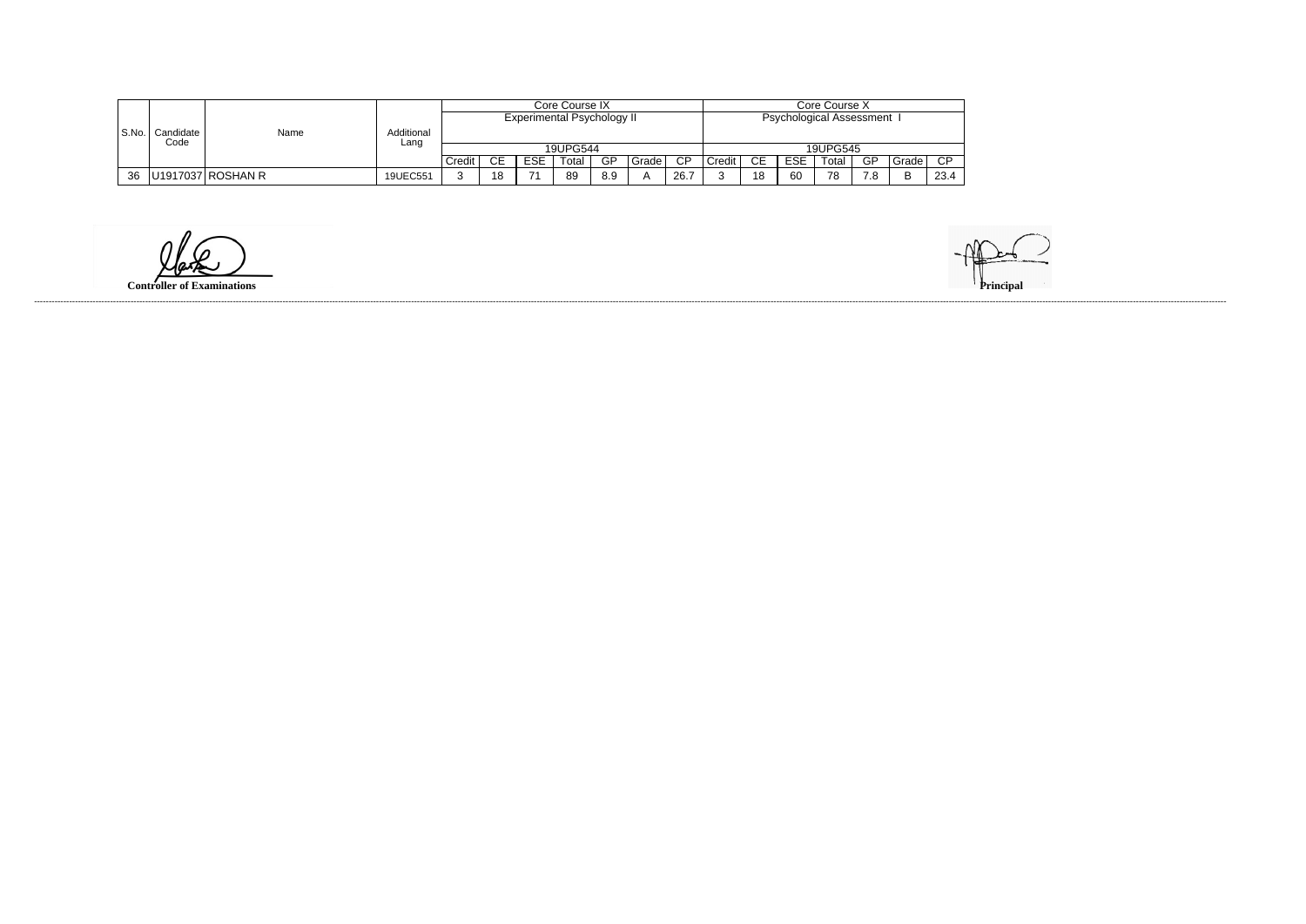|       |                   | Name              |                    | Core Course X |     |                   |                                   |     |       |                 |                            |    |            |          |     |        |        |
|-------|-------------------|-------------------|--------------------|---------------|-----|-------------------|-----------------------------------|-----|-------|-----------------|----------------------------|----|------------|----------|-----|--------|--------|
|       |                   |                   | Additional<br>Lang |               |     |                   | <b>Experimental Psychology II</b> |     |       |                 | Psychological Assessment I |    |            |          |     |        |        |
| S.No. | Candidate<br>Code |                   |                    |               |     |                   |                                   |     |       |                 |                            |    |            |          |     |        |        |
|       |                   |                   |                    |               |     |                   | 19UPG544                          |     |       |                 |                            |    |            | 19UPG545 |     |        |        |
|       |                   |                   |                    | Credit        | CE. | <b>ESE</b><br>ᆮᇰᆮ | Гоtal                             | GP  | Grade | $\overline{CP}$ | Credit                     | СE | <b>ESE</b> | Total    | GP  | Grade  | $\cap$ |
| 36    |                   | U1917037 ROSHAN R | 19UEC551           |               | 18  | $\rightarrow$     | 89                                | 8.9 |       | 26.7            |                            | 18 | 60         | 78       | 7.8 | R<br>− | 23.4   |

**Controller of Examinations**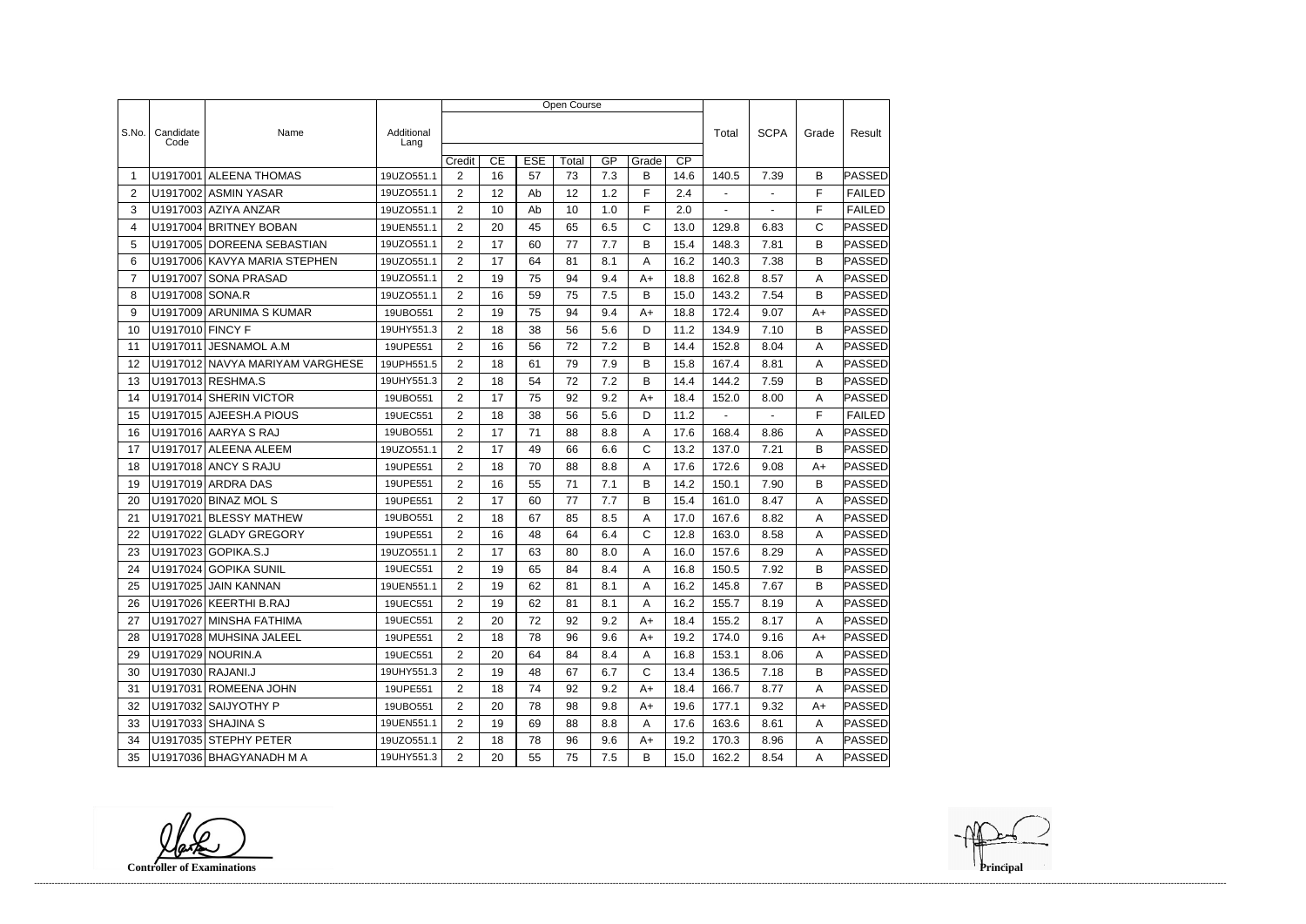|                |                   |                                 |                    | Open Course    |    |            |       |     |       |                 |                |                |              |               |
|----------------|-------------------|---------------------------------|--------------------|----------------|----|------------|-------|-----|-------|-----------------|----------------|----------------|--------------|---------------|
|                |                   |                                 |                    |                |    |            |       |     |       |                 |                |                |              |               |
| S.No.          | Candidate<br>Code | Name                            | Additional<br>Lang |                |    |            |       |     |       |                 | Total          | <b>SCPA</b>    | Grade        | Result        |
|                |                   |                                 |                    | Credit         | CE | <b>ESE</b> | Total | GP  | Grade | $\overline{CP}$ |                |                |              |               |
| -1             |                   | U1917001 ALEENA THOMAS          | 19UZO551.1         | $\overline{2}$ | 16 | 57         | 73    | 7.3 | B     | 14.6            | 140.5          | 7.39           | B            | PASSED        |
| $\overline{2}$ |                   | U1917002 ASMIN YASAR            | 19UZO551.1         | $\overline{2}$ | 12 | Ab         | 12    | 1.2 | F     | 2.4             | $\blacksquare$ | $\blacksquare$ | F            | <b>FAILED</b> |
| 3              |                   | U1917003 AZIYA ANZAR            | 19UZO551.1         | $\overline{2}$ | 10 | Ab         | 10    | 1.0 | F     | 2.0             | $\blacksquare$ |                | F            | <b>FAILED</b> |
| 4              |                   | U1917004 BRITNEY BOBAN          | 19UEN551.1         | $\overline{2}$ | 20 | 45         | 65    | 6.5 | C     | 13.0            | 129.8          | 6.83           | $\mathsf{C}$ | <b>PASSED</b> |
| 5              |                   | U1917005 DOREENA SEBASTIAN      | 19UZO551.1         | 2              | 17 | 60         | 77    | 7.7 | B     | 15.4            | 148.3          | 7.81           | B            | PASSED        |
| 6              |                   | U1917006 KAVYA MARIA STEPHEN    | 19UZO551.1         | 2              | 17 | 64         | 81    | 8.1 | Α     | 16.2            | 140.3          | 7.38           | B            | PASSED        |
| $\overline{7}$ |                   | U1917007 SONA PRASAD            | 19UZO551.1         | $\overline{2}$ | 19 | 75         | 94    | 9.4 | $A+$  | 18.8            | 162.8          | 8.57           | A            | PASSED        |
| 8              | U1917008 SONA.R   |                                 | 19UZO551.1         | $\overline{2}$ | 16 | 59         | 75    | 7.5 | В     | 15.0            | 143.2          | 7.54           | B            | <b>PASSED</b> |
| 9              |                   | U1917009 ARUNIMA S KUMAR        | 19UBO551           | $\overline{2}$ | 19 | 75         | 94    | 9.4 | $A+$  | 18.8            | 172.4          | 9.07           | $A+$         | PASSED        |
| 10             | U1917010 FINCY F  |                                 | 19UHY551.3         | 2              | 18 | 38         | 56    | 5.6 | D     | 11.2            | 134.9          | 7.10           | B            | PASSED        |
| 11             | U1917011          | <b>JESNAMOL A.M</b>             | 19UPE551           | $\overline{2}$ | 16 | 56         | 72    | 7.2 | B     | 14.4            | 152.8          | 8.04           | Α            | PASSED        |
| 12             |                   | U1917012 NAVYA MARIYAM VARGHESE | 19UPH551.5         | 2              | 18 | 61         | 79    | 7.9 | B     | 15.8            | 167.4          | 8.81           | Α            | PASSED        |
| 13             |                   | U1917013 RESHMA.S               | 19UHY551.3         | 2              | 18 | 54         | 72    | 7.2 | В     | 14.4            | 144.2          | 7.59           | B            | <b>PASSED</b> |
| 14             |                   | U1917014 SHERIN VICTOR          | 19UBO551           | $\overline{2}$ | 17 | 75         | 92    | 9.2 | A+    | 18.4            | 152.0          | 8.00           | A            | PASSED        |
| 15             |                   | U1917015 AJEESH.A PIOUS         | 19UEC551           | 2              | 18 | 38         | 56    | 5.6 | D     | 11.2            | $\blacksquare$ | $\blacksquare$ | F            | <b>FAILED</b> |
| 16             |                   | U1917016 AARYA S RAJ            | 19UBO551           | $\overline{2}$ | 17 | 71         | 88    | 8.8 | Α     | 17.6            | 168.4          | 8.86           | A            | PASSED        |
| 17             |                   | U1917017 ALEENA ALEEM           | 19UZO551.1         | $\overline{2}$ | 17 | 49         | 66    | 6.6 | C     | 13.2            | 137.0          | 7.21           | B            | <b>PASSED</b> |
| 18             |                   | U1917018 ANCY S RAJU            | 19UPE551           | $\overline{2}$ | 18 | 70         | 88    | 8.8 | Α     | 17.6            | 172.6          | 9.08           | A+           | PASSED        |
| 19             |                   | U1917019 ARDRA DAS              | 19UPE551           | $\overline{2}$ | 16 | 55         | 71    | 7.1 | B     | 14.2            | 150.1          | 7.90           | B            | <b>PASSED</b> |
| 20             |                   | U1917020 BINAZ MOL S            | 19UPE551           | 2              | 17 | 60         | 77    | 7.7 | B     | 15.4            | 161.0          | 8.47           | A            | PASSED        |
| 21             | U1917021          | <b>BLESSY MATHEW</b>            | 19UBO551           | $\overline{2}$ | 18 | 67         | 85    | 8.5 | Α     | 17.0            | 167.6          | 8.82           | Α            | PASSED        |
| 22             |                   | U1917022 GLADY GREGORY          | 19UPE551           | $\overline{2}$ | 16 | 48         | 64    | 6.4 | C     | 12.8            | 163.0          | 8.58           | A            | PASSED        |
| 23             |                   | U1917023 GOPIKA.S.J             | 19UZO551.1         | 2              | 17 | 63         | 80    | 8.0 | Α     | 16.0            | 157.6          | 8.29           | A            | PASSED        |
| 24             |                   | U1917024 GOPIKA SUNIL           | 19UEC551           | $\overline{2}$ | 19 | 65         | 84    | 8.4 | Α     | 16.8            | 150.5          | 7.92           | B            | PASSED        |
| 25             |                   | U1917025 JAIN KANNAN            | 19UEN551.1         | 2              | 19 | 62         | 81    | 8.1 | A     | 16.2            | 145.8          | 7.67           | B            | <b>PASSED</b> |
| 26             |                   | U1917026 KEERTHI B.RAJ          | 19UEC551           | $\overline{2}$ | 19 | 62         | 81    | 8.1 | A     | 16.2            | 155.7          | 8.19           | A            | <b>PASSED</b> |
| 27             |                   | U1917027 MINSHA FATHIMA         | 19UEC551           | $\overline{2}$ | 20 | 72         | 92    | 9.2 | A+    | 18.4            | 155.2          | 8.17           | Α            | <b>PASSED</b> |
| 28             |                   | U1917028 MUHSINA JALEEL         | 19UPE551           | $\overline{2}$ | 18 | 78         | 96    | 9.6 | A+    | 19.2            | 174.0          | 9.16           | A+           | <b>PASSED</b> |
| 29             |                   | U1917029 NOURIN.A               | 19UEC551           | $\overline{2}$ | 20 | 64         | 84    | 8.4 | A     | 16.8            | 153.1          | 8.06           | A            | <b>PASSED</b> |
| 30             | U1917030 RAJANI.J |                                 | 19UHY551.3         | $\overline{2}$ | 19 | 48         | 67    | 6.7 | C     | 13.4            | 136.5          | 7.18           | B            | PASSED        |
| 31             |                   | U1917031 ROMEENA JOHN           | 19UPE551           | $\overline{2}$ | 18 | 74         | 92    | 9.2 | A+    | 18.4            | 166.7          | 8.77           | Α            | <b>PASSED</b> |
| 32             |                   | U1917032 SAIJYOTHY P            | 19UBO551           | $\overline{2}$ | 20 | 78         | 98    | 9.8 | A+    | 19.6            | 177.1          | 9.32           | A+           | PASSED        |
| 33             |                   | U1917033 SHAJINA S              | 19UEN551.1         | $\overline{2}$ | 19 | 69         | 88    | 8.8 | A     | 17.6            | 163.6          | 8.61           | A            | PASSED        |
| 34             |                   | U1917035 STEPHY PETER           | 19UZO551.1         | $\overline{2}$ | 18 | 78         | 96    | 9.6 | A+    | 19.2            | 170.3          | 8.96           | A            | <b>PASSED</b> |
| 35             |                   | U1917036 BHAGYANADH M A         | 19UHY551.3         | $\overline{2}$ | 20 | 55         | 75    | 7.5 | B     | 15.0            | 162.2          | 8.54           | A            | <b>PASSED</b> |

**Controller of Examinations**